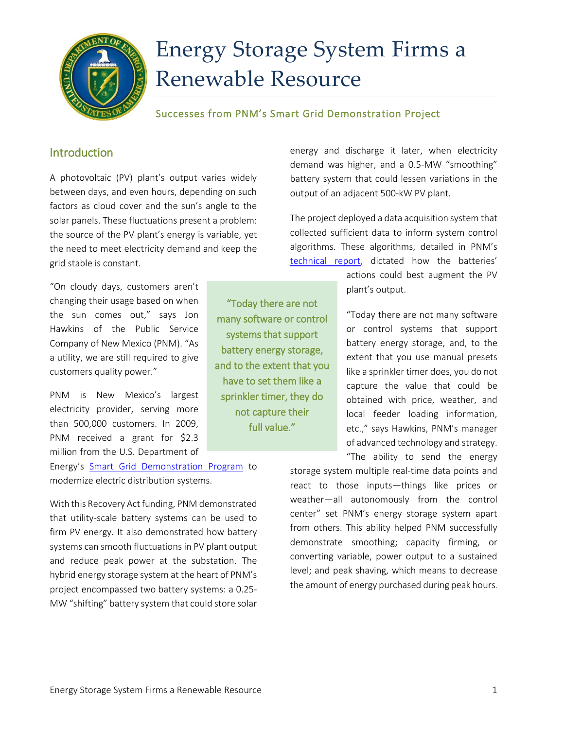

# Energy Storage System Firms a Renewable Resource

## Successes from PNM's Smart Grid Demonstration Project

# Introduction

A photovoltaic (PV) plant's output varies widely between days, and even hours, depending on such factors as cloud cover and the sun's angle to the solar panels. These fluctuations present a problem: the source of the PV plant's energy is variable, yet the need to meet electricity demand and keep the grid stable is constant.

"On cloudy days, customers aren't changing their usage based on when the sun comes out," says Jon Hawkins of the Public Service Company of New Mexico (PNM). "As a utility, we are still required to give customers quality power."

PNM is New Mexico's largest electricity provider, serving more than 500,000 customers. In 2009, PNM received a grant for \$2.3 million from the U.S. Department of

Energy's [Smart Grid Demonstration Program](https://smartgrid.gov/recovery_act/overview/smart_grid_demonstration_program) to modernize electric distribution systems.

With this Recovery Act funding, PNM demonstrated that utility-scale battery systems can be used to firm PV energy. It also demonstrated how battery systems can smooth fluctuations in PV plant output and reduce peak power at the substation. The hybrid energy storage system at the heart of PNM's project encompassed two battery systems: a 0.25- MW "shifting" battery system that could store solar

"Today there are not many software or control systems that support battery energy storage, and to the extent that you have to set them like a sprinkler timer, they do not capture their full value."

energy and discharge it later, when electricity demand was higher, and a 0.5-MW "smoothing" battery system that could lessen variations in the output of an adjacent 500-kW PV plant.

The project deployed a data acquisition system that collected sufficient data to inform system control algorithms. These algorithms, detailed in PNM's [technical report,](https://www.smartgrid.gov/sites/default/files/doc/files/FTR%20FINAL%20PNM%2027May14.pdf) dictated how the batteries'

> actions could best augment the PV plant's output.

"Today there are not many software or control systems that support battery energy storage, and, to the extent that you use manual presets like a sprinkler timer does, you do not capture the value that could be obtained with price, weather, and local feeder loading information, etc.," says Hawkins, PNM's manager of advanced technology and strategy. "The ability to send the energy

storage system multiple real-time data points and react to those inputs—things like prices or weather—all autonomously from the control center" set PNM's energy storage system apart from others. This ability helped PNM successfully demonstrate smoothing; capacity firming, or converting variable, power output to a sustained level; and peak shaving, which means to decrease the amount of energy purchased during peak hours.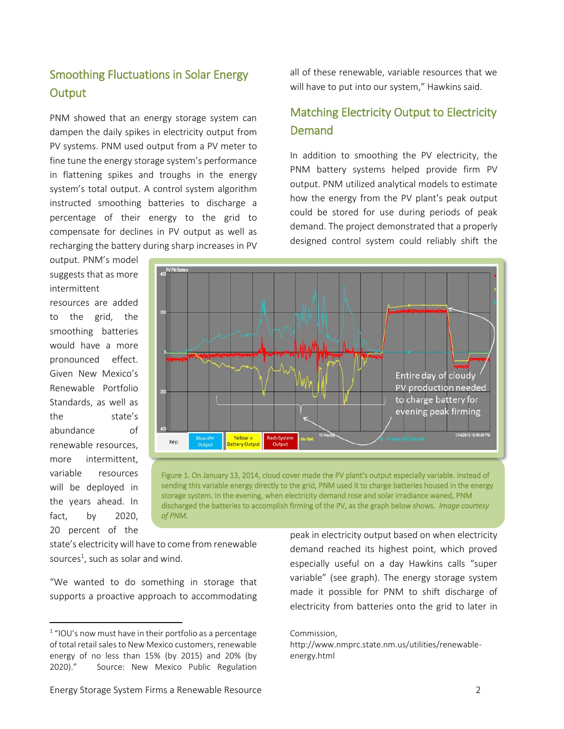# Smoothing Fluctuations in Solar Energy **Output**

PNM showed that an energy storage system can dampen the daily spikes in electricity output from PV systems. PNM used output from a PV meter to fine tune the energy storage system's performance in flattening spikes and troughs in the energy system's total output. A control system algorithm instructed smoothing batteries to discharge a percentage of their energy to the grid to compensate for declines in PV output as well as recharging the battery during sharp increases in PV

output. PNM's model suggests that as more intermittent

resources are added to the grid, the smoothing batteries would have a more pronounced effect. Given New Mexico's Renewable Portfolio Standards, as well as the state's abundance of renewable resources, more intermittent, variable resources will be deployed in the years ahead. In fact, by 2020, 20 percent of the

 $\overline{a}$ 



Demand

Figure 1. On January 13, 2014, cloud cover made the PV plant's output especially variable. Instead of sending this variable energy directly to the grid, PNM used it to charge batteries housed in the energy storage system. In the evening, when electricity demand rose and solar irradiance waned, PNM discharged the batteries to accomplish firming of the PV, as the graph below shows. *Image courtesy of PNM.*

state's electricity will have to come from renewable sources<sup>1</sup>, such as solar and wind.

"We wanted to do something in storage that supports a proactive approach to accommodating peak in electricity output based on when electricity demand reached its highest point, which proved especially useful on a day Hawkins calls "super variable" (see graph). The energy storage system made it possible for PNM to shift discharge of electricity from batteries onto the grid to later in

all of these renewable, variable resources that we will have to put into our system," Hawkins said.

Matching Electricity Output to Electricity

In addition to smoothing the PV electricity, the PNM battery systems helped provide firm PV output. PNM utilized analytical models to estimate how the energy from the PV plant's peak output could be stored for use during periods of peak demand. The project demonstrated that a properly designed control system could reliably shift the

Commission,

http://www.nmprc.state.nm.us/utilities/renewableenergy.html

<sup>1</sup> "IOU's now must have in their portfolio as a percentage of total retail sales to New Mexico customers, renewable energy of no less than 15% (by 2015) and 20% (by 2020)." Source: New Mexico Public Regulation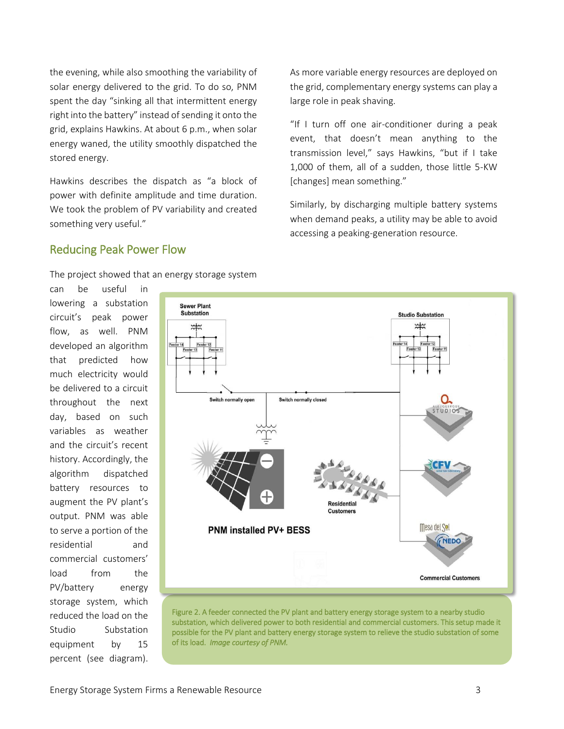the evening, while also smoothing the variability of solar energy delivered to the grid. To do so, PNM spent the day "sinking all that intermittent energy right into the battery" instead of sending it onto the grid, explains Hawkins. At about 6 p.m., when solar energy waned, the utility smoothly dispatched the stored energy.

Hawkins describes the dispatch as "a block of power with definite amplitude and time duration. We took the problem of PV variability and created something very useful."

As more variable energy resources are deployed on the grid, complementary energy systems can play a large role in peak shaving.

"If I turn off one air-conditioner during a peak event, that doesn't mean anything to the transmission level," says Hawkins, "but if I take 1,000 of them, all of a sudden, those little 5-KW [changes] mean something."

Similarly, by discharging multiple battery systems when demand peaks, a utility may be able to avoid accessing a peaking-generation resource.

## Reducing Peak Power Flow

The project showed that an energy storage system

can be useful in lowering a substation circuit's peak power flow, as well. PNM developed an algorithm that predicted how much electricity would be delivered to a circuit throughout the next day, based on such variables as weather and the circuit's recent history. Accordingly, the algorithm dispatched battery resources to augment the PV plant's output. PNM was able to serve a portion of the residential and commercial customers' load from the PV/battery energy storage system, which reduced the load on the Studio Substation equipment by 15 percent (see diagram).



Figure 2. A feeder connected the PV plant and battery energy storage system to a nearby studio substation, which delivered power to both residential and commercial customers. This setup made it possible for the PV plant and battery energy storage system to relieve the studio substation of some of its load. *Image courtesy of PNM.*